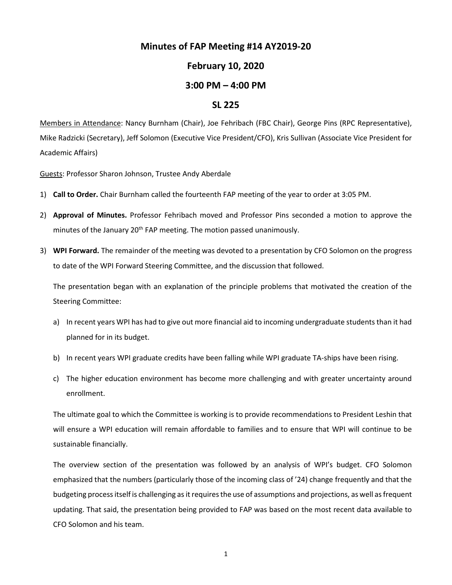## **Minutes of FAP Meeting #14 AY2019-20**

## **February 10, 2020**

## **3:00 PM – 4:00 PM**

## **SL 225**

Members in Attendance: Nancy Burnham (Chair), Joe Fehribach (FBC Chair), George Pins (RPC Representative), Mike Radzicki (Secretary), Jeff Solomon (Executive Vice President/CFO), Kris Sullivan (Associate Vice President for Academic Affairs)

Guests: Professor Sharon Johnson, Trustee Andy Aberdale

- 1) **Call to Order.** Chair Burnham called the fourteenth FAP meeting of the year to order at 3:05 PM.
- 2) **Approval of Minutes.** Professor Fehribach moved and Professor Pins seconded a motion to approve the minutes of the January 20<sup>th</sup> FAP meeting. The motion passed unanimously.
- 3) **WPI Forward.** The remainder of the meeting was devoted to a presentation by CFO Solomon on the progress to date of the WPI Forward Steering Committee, and the discussion that followed.

The presentation began with an explanation of the principle problems that motivated the creation of the Steering Committee:

- a) In recent years WPI has had to give out more financial aid to incoming undergraduate students than it had planned for in its budget.
- b) In recent years WPI graduate credits have been falling while WPI graduate TA-ships have been rising.
- c) The higher education environment has become more challenging and with greater uncertainty around enrollment.

The ultimate goal to which the Committee is working is to provide recommendations to President Leshin that will ensure a WPI education will remain affordable to families and to ensure that WPI will continue to be sustainable financially.

The overview section of the presentation was followed by an analysis of WPI's budget. CFO Solomon emphasized that the numbers (particularly those of the incoming class of '24) change frequently and that the budgeting process itself is challenging as it requires the use of assumptions and projections, as well asfrequent updating. That said, the presentation being provided to FAP was based on the most recent data available to CFO Solomon and his team.

1